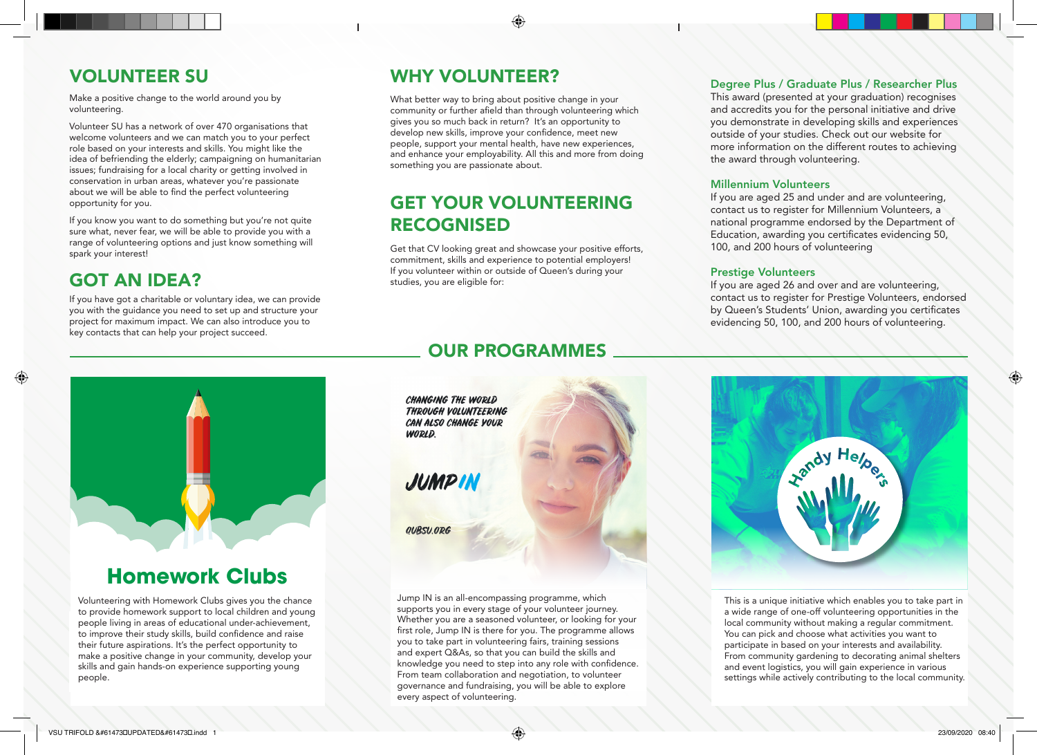### VOLUNTEER SU

Make a positive change to the world around you by volunteering.

Volunteer SU has a network of over 470 organisations that welcome volunteers and we can match you to your perfect role based on your interests and skills. You might like the idea of befriending the elderly; campaigning on humanitarian issues; fundraising for a local charity or getting involved in conservation in urban areas, whatever you're passionate about we will be able to find the perfect volunteering opportunity for you.

If you know you want to do something but you're not quite sure what, never fear, we will be able to provide you with a range of volunteering options and just know something will spark your interest!

### GOT AN IDEA?

If you have got a charitable or voluntary idea, we can provide you with the guidance you need to set up and structure your project for maximum impact. We can also introduce you to key contacts that can help your project succeed.

### WHY VOLUNTEER?

What better way to bring about positive change in your community or further afield than through volunteering which gives you so much back in return? It's an opportunity to develop new skills, improve your confidence, meet new people, support your mental health, have new experiences, and enhance your employability. All this and more from doing something you are passionate about.

⊕

### GET YOUR VOLUNTEERING RECOGNISED

Get that CV looking great and showcase your positive efforts, commitment, skills and experience to potential employers! If you volunteer within or outside of Queen's during your studies, you are eligible for:

### OUR PROGRAMMES

Degree Plus / Graduate Plus / Researcher Plus

This award (presented at your graduation) recognises and accredits you for the personal initiative and drive you demonstrate in developing skills and experiences outside of your studies. Check out our website for more information on the different routes to achieving the award through volunteering.

#### Millennium Volunteers

If you are aged 25 and under and are volunteering, contact us to register for Millennium Volunteers, a national programme endorsed by the Department of Education, awarding you certificates evidencing 50, 100, and 200 hours of volunteering

#### Prestige Volunteers

If you are aged 26 and over and are volunteering, contact us to register for Prestige Volunteers, endorsed by Queen's Students' Union, awarding you certificates evidencing 50, 100, and 200 hours of volunteering.



## **Homework Clubs**

Volunteering with Homework Clubs gives you the chance to provide homework support to local children and young people living in areas of educational under-achievement, to improve their study skills, build confidence and raise their future aspirations. It's the perfect opportunity to make a positive change in your community, develop your skills and gain hands-on experience supporting young people.

**CHANGING THE WORLD THROUGH VOLUNTEERING** CAN ALSO CHANGE YOUR **WORLD.** 

**JUMPIN** 

**OUBSU.ODG** 

Jump IN is an all-encompassing programme, which supports you in every stage of your volunteer journey. Whether you are a seasoned volunteer, or looking for your first role, Jump IN is there for you. The programme allows you to take part in volunteering fairs, training sessions and expert Q&As, so that you can build the skills and knowledge you need to step into any role with confidence. From team collaboration and negotiation, to volunteer governance and fundraising, you will be able to explore every aspect of volunteering.



This is a unique initiative which enables you to take part in a wide range of one-off volunteering opportunities in the local community without making a regular commitment. You can pick and choose what activities you want to participate in based on your interests and availability. From community gardening to decorating animal shelters and event logistics, you will gain experience in various settings while actively contributing to the local community. ⊕